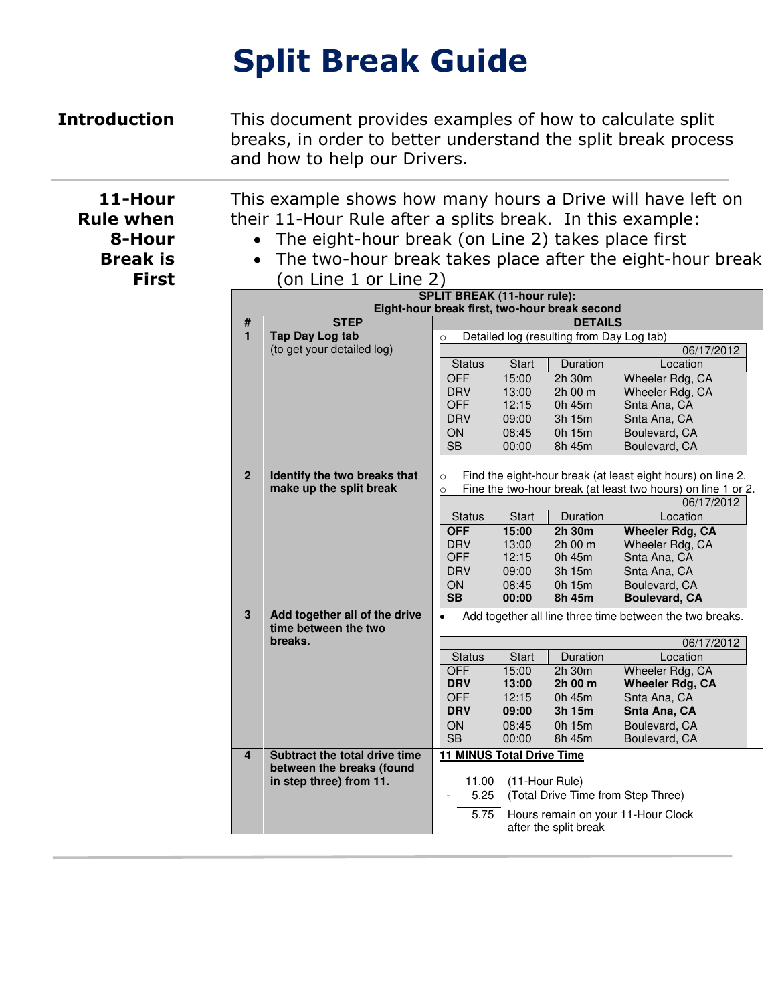# **Split Break Guide**

**Introduction** This document provides examples of how to calculate split breaks, in order to better understand the split break process and how to help our Drivers.

> This example shows how many hours a Drive will have left on their 11-Hour Rule after a splits break. In this example:

- The eight-hour break (on Line 2) takes place first
- The two-hour break takes place after the eight-hour break (on Line 1 or Line 2)

|                         | <b>SPLIT BREAK (11-hour rule):</b><br>Eight-hour break first, two-hour break second |                                                                       |                |                                    |                                                                            |  |  |
|-------------------------|-------------------------------------------------------------------------------------|-----------------------------------------------------------------------|----------------|------------------------------------|----------------------------------------------------------------------------|--|--|
| #                       | <b>STEP</b>                                                                         | <b>DETAILS</b>                                                        |                |                                    |                                                                            |  |  |
| $\overline{1}$          | <b>Tap Day Log tab</b>                                                              | Detailed log (resulting from Day Log tab)<br>$\circ$                  |                |                                    |                                                                            |  |  |
|                         | (to get your detailed log)                                                          |                                                                       |                |                                    | 06/17/2012                                                                 |  |  |
|                         |                                                                                     | <b>Status</b>                                                         | Start          | Duration                           | Location                                                                   |  |  |
|                         |                                                                                     | <b>OFF</b>                                                            | 15:00          | 2h 30m                             | Wheeler Rdg, CA                                                            |  |  |
|                         |                                                                                     | <b>DRV</b>                                                            | 13:00          | 2h 00 m                            | Wheeler Rdg, CA                                                            |  |  |
|                         |                                                                                     | <b>OFF</b>                                                            | 12:15          | 0h 45m                             | Snta Ana, CA                                                               |  |  |
|                         |                                                                                     | <b>DRV</b>                                                            | 09:00          | 3h 15m                             | Snta Ana, CA                                                               |  |  |
|                         |                                                                                     | ON                                                                    | 08:45          | 0h 15m                             | Boulevard, CA                                                              |  |  |
|                         |                                                                                     | <b>SB</b>                                                             | 00:00          | 8h 45m                             | Boulevard, CA                                                              |  |  |
|                         |                                                                                     |                                                                       |                |                                    |                                                                            |  |  |
| $\overline{2}$          | Identify the two breaks that                                                        | $\circ$                                                               |                |                                    | Find the eight-hour break (at least eight hours) on line 2.                |  |  |
|                         | make up the split break                                                             | $\circ$                                                               |                |                                    | Fine the two-hour break (at least two hours) on line 1 or 2.<br>06/17/2012 |  |  |
|                         |                                                                                     |                                                                       | <b>Start</b>   | Duration                           | Location                                                                   |  |  |
|                         |                                                                                     | <b>Status</b><br><b>OFF</b>                                           |                |                                    |                                                                            |  |  |
|                         |                                                                                     | <b>DRV</b>                                                            | 15:00<br>13:00 | 2h 30m<br>2h 00 m                  | <b>Wheeler Rdg, CA</b><br>Wheeler Rdg, CA                                  |  |  |
|                         |                                                                                     | <b>OFF</b>                                                            | 12:15          | 0h 45m                             | Snta Ana, CA                                                               |  |  |
|                         |                                                                                     | <b>DRV</b>                                                            | 09:00          | 3h 15m                             | Snta Ana, CA                                                               |  |  |
|                         |                                                                                     | ON                                                                    | 08:45          | 0h 15m                             | Boulevard, CA                                                              |  |  |
|                         |                                                                                     | <b>SB</b>                                                             | 00:00          | 8h 45m                             | <b>Boulevard, CA</b>                                                       |  |  |
| 3                       | Add together all of the drive                                                       | Add together all line three time between the two breaks.<br>$\bullet$ |                |                                    |                                                                            |  |  |
|                         | time between the two                                                                |                                                                       |                |                                    |                                                                            |  |  |
|                         | breaks.                                                                             | 06/17/2012                                                            |                |                                    |                                                                            |  |  |
|                         |                                                                                     | <b>Status</b>                                                         | <b>Start</b>   | Duration                           | Location                                                                   |  |  |
|                         |                                                                                     | <b>OFF</b>                                                            | 15:00          | $2h$ 30 $m$                        | Wheeler Rdg, CA                                                            |  |  |
|                         |                                                                                     | <b>DRV</b>                                                            | 13:00          | 2h 00 m                            | <b>Wheeler Rdg, CA</b>                                                     |  |  |
|                         |                                                                                     | <b>OFF</b>                                                            | 12:15          | 0h 45m                             | Snta Ana, CA                                                               |  |  |
|                         |                                                                                     | <b>DRV</b>                                                            | 09:00          | 3h 15m                             | Snta Ana, CA                                                               |  |  |
|                         |                                                                                     | ON<br><b>SB</b>                                                       | 08:45<br>00:00 | 0h 15m<br>8h 45m                   | Boulevard, CA                                                              |  |  |
|                         |                                                                                     |                                                                       |                |                                    | Boulevard, CA                                                              |  |  |
| $\overline{\mathbf{4}}$ | Subtract the total drive time<br>between the breaks (found                          | <b>11 MINUS Total Drive Time</b>                                      |                |                                    |                                                                            |  |  |
|                         | in step three) from 11.                                                             | 11.00                                                                 |                | (11-Hour Rule)                     |                                                                            |  |  |
|                         |                                                                                     | 5.25                                                                  |                | (Total Drive Time from Step Three) |                                                                            |  |  |
|                         |                                                                                     |                                                                       |                |                                    |                                                                            |  |  |
|                         |                                                                                     | 5.75<br>Hours remain on your 11-Hour Clock                            |                |                                    |                                                                            |  |  |
|                         |                                                                                     | after the split break                                                 |                |                                    |                                                                            |  |  |

**11-Hour Rule when 8-Hour Break is First**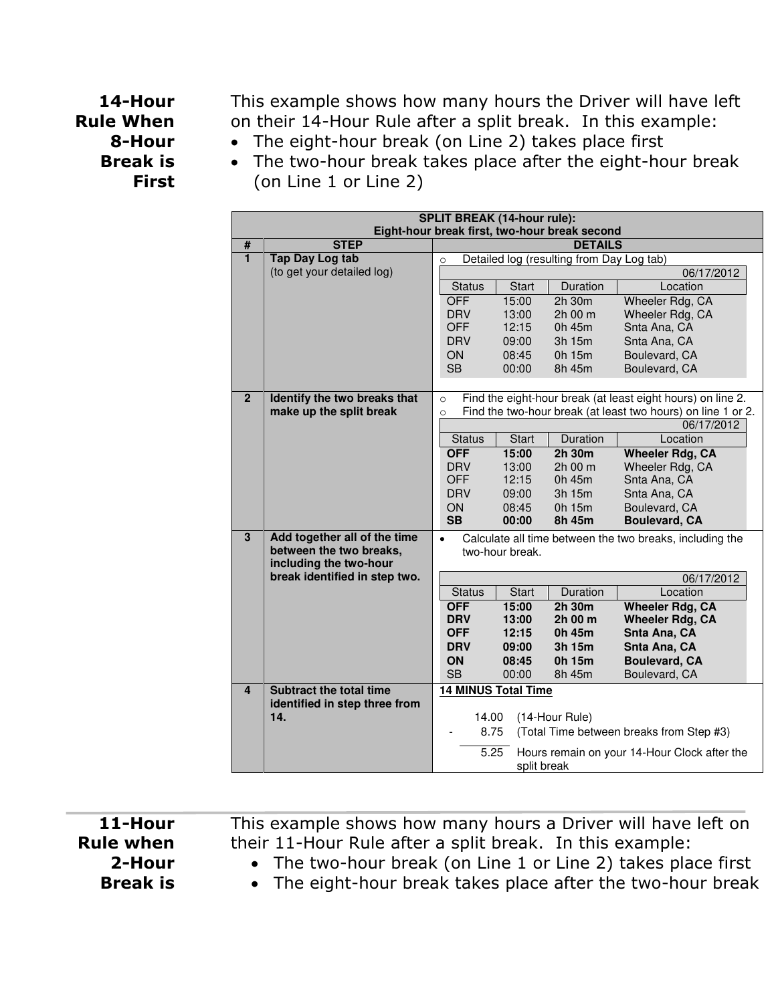# **14-Hour Rule When 8-Hour Break is First**

This example shows how many hours the Driver will have left on their 14-Hour Rule after a split break. In this example:

- The eight-hour break (on Line 2) takes place first
- The two-hour break takes place after the eight-hour break
	- (on Line 1 or Line 2)

| <b>SPLIT BREAK (14-hour rule):</b><br>Eight-hour break first, two-hour break second |                                                   |                                                                       |              |                |                                                              |  |
|-------------------------------------------------------------------------------------|---------------------------------------------------|-----------------------------------------------------------------------|--------------|----------------|--------------------------------------------------------------|--|
| $\#$                                                                                | <b>STEP</b>                                       | <b>DETAILS</b>                                                        |              |                |                                                              |  |
| $\blacksquare$                                                                      | <b>Tap Day Log tab</b>                            | Detailed log (resulting from Day Log tab)<br>$\circ$                  |              |                |                                                              |  |
|                                                                                     | (to get your detailed log)                        | 06/17/2012                                                            |              |                |                                                              |  |
|                                                                                     |                                                   | <b>Status</b>                                                         | <b>Start</b> | Duration       | Location                                                     |  |
|                                                                                     |                                                   | <b>OFF</b>                                                            | 15:00        | 2h 30m         | Wheeler Rdg, CA                                              |  |
|                                                                                     |                                                   | <b>DRV</b>                                                            | 13:00        | 2h 00 m        | Wheeler Rdg, CA                                              |  |
|                                                                                     |                                                   | <b>OFF</b>                                                            | 12:15        | 0h 45m         | Snta Ana, CA                                                 |  |
|                                                                                     |                                                   | <b>DRV</b>                                                            | 09:00        | 3h 15m         | Snta Ana, CA                                                 |  |
|                                                                                     |                                                   | ON                                                                    | 08:45        | 0h 15m         | Boulevard, CA                                                |  |
|                                                                                     |                                                   | <b>SB</b>                                                             | 00:00        | 8h 45m         | Boulevard, CA                                                |  |
|                                                                                     |                                                   |                                                                       |              |                |                                                              |  |
| $\overline{2}$                                                                      | Identify the two breaks that                      | $\Omega$                                                              |              |                | Find the eight-hour break (at least eight hours) on line 2.  |  |
|                                                                                     | make up the split break                           | $\circ$                                                               |              |                | Find the two-hour break (at least two hours) on line 1 or 2. |  |
|                                                                                     |                                                   |                                                                       |              |                | 06/17/2012                                                   |  |
|                                                                                     |                                                   | <b>Status</b>                                                         | <b>Start</b> | Duration       | Location                                                     |  |
|                                                                                     |                                                   | <b>OFF</b>                                                            | 15:00        | 2h 30m         | <b>Wheeler Rdg, CA</b>                                       |  |
|                                                                                     |                                                   | <b>DRV</b>                                                            | 13:00        | 2h 00 m        | Wheeler Rdg, CA                                              |  |
|                                                                                     |                                                   | <b>OFF</b>                                                            | 12:15        | 0h 45m         | Snta Ana, CA                                                 |  |
|                                                                                     |                                                   | <b>DRV</b>                                                            | 09:00        | 3h 15m         | Snta Ana, CA                                                 |  |
|                                                                                     |                                                   | ON                                                                    | 08:45        | 0h 15m         | Boulevard, CA                                                |  |
|                                                                                     |                                                   | <b>SB</b>                                                             | 00:00        | 8h 45m         | <b>Boulevard, CA</b>                                         |  |
| $\overline{\mathbf{3}}$                                                             | Add together all of the time                      | Calculate all time between the two breaks, including the<br>$\bullet$ |              |                |                                                              |  |
|                                                                                     | between the two breaks,<br>including the two-hour | two-hour break.                                                       |              |                |                                                              |  |
|                                                                                     | break identified in step two.                     | 06/17/2012                                                            |              |                |                                                              |  |
|                                                                                     |                                                   | <b>Status</b>                                                         | <b>Start</b> | Duration       | Location                                                     |  |
|                                                                                     |                                                   | <b>OFF</b>                                                            | 15:00        | 2h 30m         | <b>Wheeler Rdg, CA</b>                                       |  |
|                                                                                     |                                                   | <b>DRV</b>                                                            | 13:00        | 2h 00 m        | <b>Wheeler Rdg, CA</b>                                       |  |
|                                                                                     |                                                   | <b>OFF</b>                                                            | 12:15        | 0h 45m         | Snta Ana, CA                                                 |  |
|                                                                                     |                                                   | <b>DRV</b>                                                            | 09:00        | 3h 15m         | Snta Ana, CA                                                 |  |
|                                                                                     |                                                   | ON                                                                    | 08:45        | 0h 15m         | <b>Boulevard, CA</b>                                         |  |
|                                                                                     |                                                   | <b>SB</b>                                                             | 00:00        | 8h 45m         | Boulevard, CA                                                |  |
| 4                                                                                   | <b>Subtract the total time</b>                    |                                                                       |              |                |                                                              |  |
|                                                                                     | identified in step three from                     | <b>14 MINUS Total Time</b>                                            |              |                |                                                              |  |
|                                                                                     | 14.                                               | 14.00                                                                 |              | (14-Hour Rule) |                                                              |  |
|                                                                                     |                                                   | (Total Time between breaks from Step #3)<br>8.75                      |              |                |                                                              |  |
|                                                                                     |                                                   |                                                                       |              |                |                                                              |  |
|                                                                                     |                                                   | 5.25<br>Hours remain on your 14-Hour Clock after the                  |              |                |                                                              |  |
|                                                                                     |                                                   | split break                                                           |              |                |                                                              |  |

**11-Hour Rule when 2-Hour Break is** 

This example shows how many hours a Driver will have left on their 11-Hour Rule after a split break. In this example:

- The two-hour break (on Line 1 or Line 2) takes place first
- The eight-hour break takes place after the two-hour break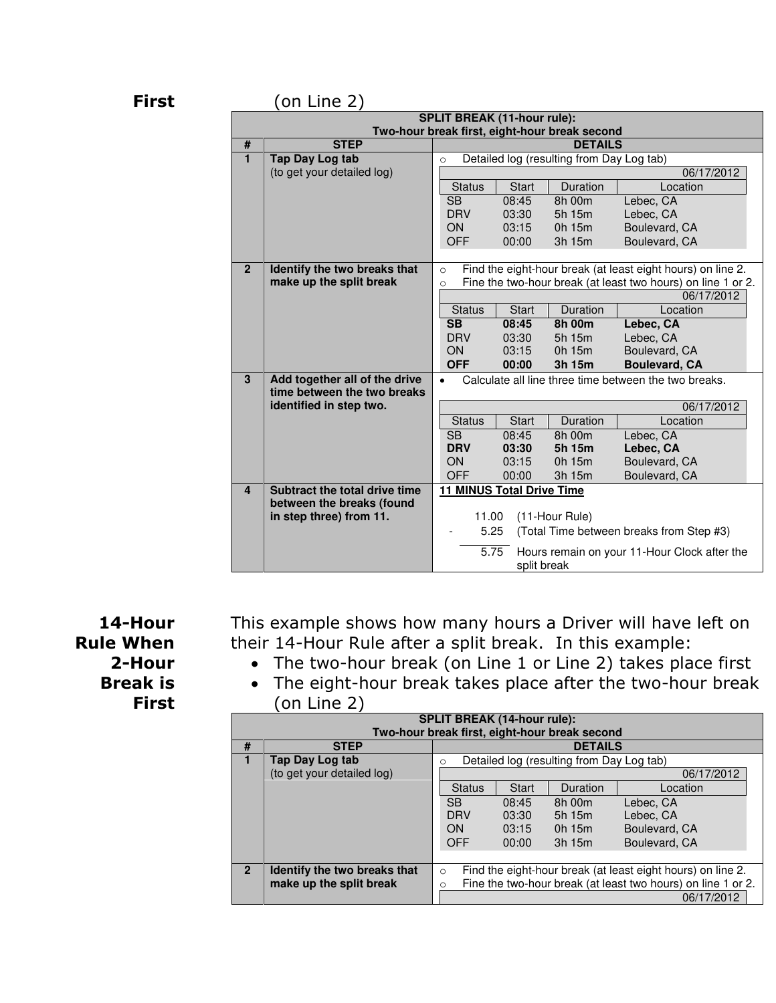#### **First** (on Line 2)

| -------                 |                                                                                     |                                                                             |                |                  |                                                              |  |  |  |
|-------------------------|-------------------------------------------------------------------------------------|-----------------------------------------------------------------------------|----------------|------------------|--------------------------------------------------------------|--|--|--|
|                         | <b>SPLIT BREAK (11-hour rule):</b><br>Two-hour break first, eight-hour break second |                                                                             |                |                  |                                                              |  |  |  |
| #                       | <b>STEP</b>                                                                         | <b>DETAILS</b>                                                              |                |                  |                                                              |  |  |  |
| $\blacksquare$          | Tap Day Log tab                                                                     | Detailed log (resulting from Day Log tab)<br>$\circ$                        |                |                  |                                                              |  |  |  |
|                         | (to get your detailed log)                                                          | 06/17/2012                                                                  |                |                  |                                                              |  |  |  |
|                         |                                                                                     | <b>Status</b>                                                               | <b>Start</b>   | Duration         | Location                                                     |  |  |  |
|                         |                                                                                     | <b>SB</b>                                                                   | 08:45          | 8h 00m           | Lebec, CA                                                    |  |  |  |
|                         |                                                                                     | <b>DRV</b>                                                                  | 03:30          | 5h 15m           | Lebec, CA                                                    |  |  |  |
|                         |                                                                                     | <b>ON</b>                                                                   | 03:15          | 0h 15m           | Boulevard, CA                                                |  |  |  |
|                         |                                                                                     | <b>OFF</b>                                                                  | 00:00          | 3h 15m           | Boulevard, CA                                                |  |  |  |
|                         |                                                                                     |                                                                             |                |                  |                                                              |  |  |  |
| $\overline{2}$          | Identify the two breaks that                                                        | $\Omega$                                                                    |                |                  | Find the eight-hour break (at least eight hours) on line 2.  |  |  |  |
|                         | make up the split break                                                             | $\Omega$                                                                    |                |                  | Fine the two-hour break (at least two hours) on line 1 or 2. |  |  |  |
|                         |                                                                                     |                                                                             |                |                  | 06/17/2012                                                   |  |  |  |
|                         |                                                                                     | <b>Status</b>                                                               | <b>Start</b>   | Duration         | Location                                                     |  |  |  |
|                         |                                                                                     | $\overline{\text{SB}}$                                                      | 08:45          | 8h 00m           | Lebec, CA                                                    |  |  |  |
|                         |                                                                                     | <b>DRV</b>                                                                  | 03:30          | 5h 15m           | Lebec, CA                                                    |  |  |  |
|                         |                                                                                     | ON                                                                          | 03:15          | 0h 15m           | Boulevard, CA                                                |  |  |  |
|                         |                                                                                     | <b>OFF</b>                                                                  | 00:00          | 3h 15m           | <b>Boulevard, CA</b>                                         |  |  |  |
| 3                       | Add together all of the drive<br>time between the two breaks                        | Calculate all line three time between the two breaks.<br>$\bullet$          |                |                  |                                                              |  |  |  |
|                         | identified in step two.                                                             |                                                                             |                |                  |                                                              |  |  |  |
|                         |                                                                                     |                                                                             |                |                  | 06/17/2012                                                   |  |  |  |
|                         |                                                                                     | <b>Status</b>                                                               | <b>Start</b>   | Duration         | Location                                                     |  |  |  |
|                         |                                                                                     | $\overline{\text{SB}}$<br><b>DRV</b>                                        | 08:45<br>03:30 | 8h 00m<br>5h 15m | Lebec, CA<br>Lebec, CA                                       |  |  |  |
|                         |                                                                                     | ON                                                                          | 03:15          | 0h 15m           | Boulevard, CA                                                |  |  |  |
|                         |                                                                                     | <b>OFF</b>                                                                  | 00:00          | 3h 15m           | Boulevard, CA                                                |  |  |  |
| $\overline{\mathbf{4}}$ | Subtract the total drive time                                                       | <b>11 MINUS Total Drive Time</b>                                            |                |                  |                                                              |  |  |  |
|                         | between the breaks (found                                                           |                                                                             |                |                  |                                                              |  |  |  |
|                         | in step three) from 11.                                                             |                                                                             |                |                  |                                                              |  |  |  |
|                         |                                                                                     | (11-Hour Rule)<br>11.00<br>5.25<br>(Total Time between breaks from Step #3) |                |                  |                                                              |  |  |  |
|                         |                                                                                     |                                                                             |                |                  |                                                              |  |  |  |
|                         |                                                                                     | 5.75<br>Hours remain on your 11-Hour Clock after the                        |                |                  |                                                              |  |  |  |
|                         |                                                                                     | split break                                                                 |                |                  |                                                              |  |  |  |

**14-Hour Rule When 2-Hour Break is First** 

This example shows how many hours a Driver will have left on their 14-Hour Rule after a split break. In this example:

- The two-hour break (on Line 1 or Line 2) takes place first
- The eight-hour break takes place after the two-hour break (on Line 2)

| <b>SPLIT BREAK (14-hour rule):</b> |                                               |                                                                         |              |          |               |  |  |  |
|------------------------------------|-----------------------------------------------|-------------------------------------------------------------------------|--------------|----------|---------------|--|--|--|
|                                    | Two-hour break first, eight-hour break second |                                                                         |              |          |               |  |  |  |
| #                                  | <b>STEP</b>                                   | <b>DETAILS</b>                                                          |              |          |               |  |  |  |
|                                    | Tap Day Log tab                               | Detailed log (resulting from Day Log tab)<br>∩                          |              |          |               |  |  |  |
|                                    | (to get your detailed log)                    | 06/17/2012                                                              |              |          |               |  |  |  |
|                                    |                                               | <b>Status</b>                                                           | <b>Start</b> | Duration | Location      |  |  |  |
|                                    |                                               | <b>SB</b>                                                               | 08:45        | 8h 00m   | Lebec, CA     |  |  |  |
|                                    |                                               | <b>DRV</b>                                                              | 03:30        | 5h 15m   | Lebec, CA     |  |  |  |
|                                    |                                               | <b>ON</b>                                                               | 03:15        | 0h 15m   | Boulevard, CA |  |  |  |
|                                    |                                               | <b>OFF</b>                                                              | 00:00        | 3h 15m   | Boulevard, CA |  |  |  |
|                                    |                                               |                                                                         |              |          |               |  |  |  |
| $\overline{2}$                     | Identify the two breaks that                  | Find the eight-hour break (at least eight hours) on line 2.<br>$\Omega$ |              |          |               |  |  |  |
|                                    | make up the split break                       | Fine the two-hour break (at least two hours) on line 1 or 2.<br>O       |              |          |               |  |  |  |
|                                    |                                               | 06/17/2012                                                              |              |          |               |  |  |  |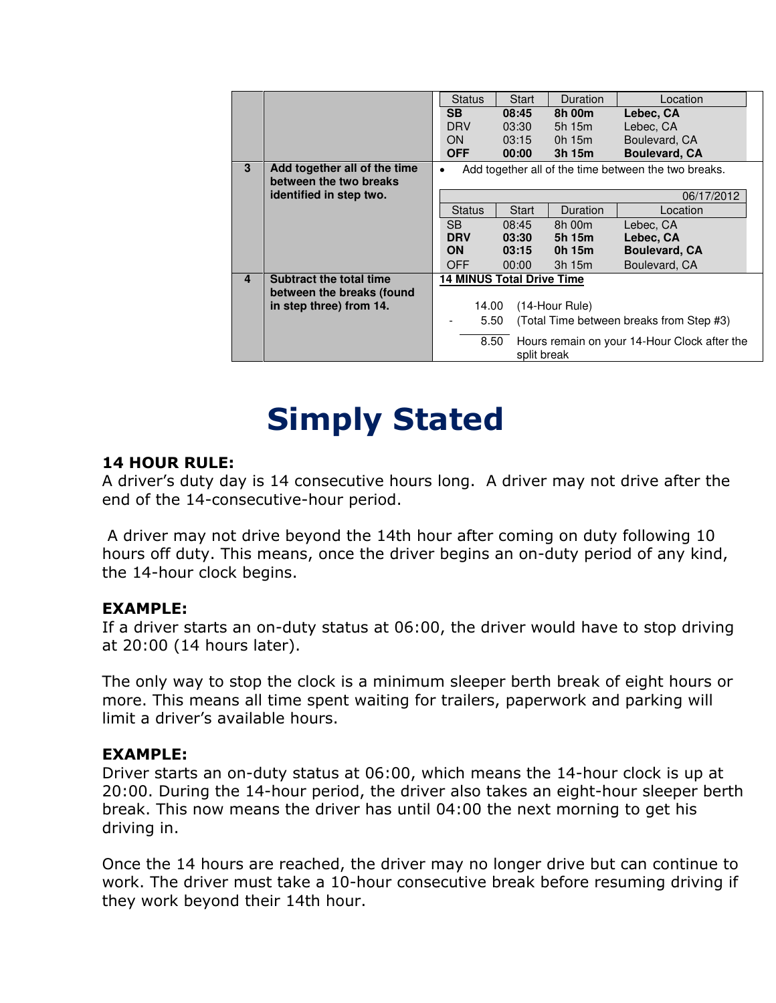|                |                                | <b>Status</b>                                        | Start        | Duration    | Location                                     |  |  |
|----------------|--------------------------------|------------------------------------------------------|--------------|-------------|----------------------------------------------|--|--|
|                |                                | <b>SB</b>                                            | 08:45        | 8h 00m      | Lebec, CA                                    |  |  |
|                |                                | <b>DRV</b>                                           | 03:30        | 5h 15m      | Lebec, CA                                    |  |  |
|                |                                | <b>ON</b>                                            | 03:15        | $0h$ 15 $m$ | Boulevard, CA                                |  |  |
|                |                                | <b>OFF</b>                                           | 00:00        | 3h 15m      | <b>Boulevard, CA</b>                         |  |  |
| 3              | Add together all of the time   | Add together all of the time between the two breaks. |              |             |                                              |  |  |
|                | between the two breaks         |                                                      |              |             |                                              |  |  |
|                | identified in step two.        | 06/17/2012                                           |              |             |                                              |  |  |
|                |                                | <b>Status</b>                                        | <b>Start</b> | Duration    | Location                                     |  |  |
|                |                                | SB.                                                  | 08:45        | 8h 00m      | Lebec, CA                                    |  |  |
|                |                                | <b>DRV</b>                                           | 03:30        | 5h 15m      | Lebec, CA                                    |  |  |
|                |                                | <b>ON</b>                                            | 03:15        | 0h 15m      | <b>Boulevard, CA</b>                         |  |  |
|                |                                | <b>OFF</b>                                           | 00:00        | 3h 15m      | Boulevard, CA                                |  |  |
| $\overline{4}$ | <b>Subtract the total time</b> | <b>14 MINUS Total Drive Time</b>                     |              |             |                                              |  |  |
|                | between the breaks (found      |                                                      |              |             |                                              |  |  |
|                | in step three) from 14.        | (14-Hour Rule)<br>14.00                              |              |             |                                              |  |  |
|                |                                | 5.50<br>(Total Time between breaks from Step #3)     |              |             |                                              |  |  |
|                |                                | 8.50                                                 | split break  |             | Hours remain on your 14-Hour Clock after the |  |  |

# **Simply Stated**

### **14 HOUR RULE:**

A driver's duty day is 14 consecutive hours long. A driver may not drive after the end of the 14-consecutive-hour period.

 A driver may not drive beyond the 14th hour after coming on duty following 10 hours off duty. This means, once the driver begins an on-duty period of any kind, the 14-hour clock begins.

#### **EXAMPLE:**

If a driver starts an on-duty status at 06:00, the driver would have to stop driving at 20:00 (14 hours later).

The only way to stop the clock is a minimum sleeper berth break of eight hours or more. This means all time spent waiting for trailers, paperwork and parking will limit a driver's available hours.

#### **EXAMPLE:**

Driver starts an on-duty status at 06:00, which means the 14-hour clock is up at 20:00. During the 14-hour period, the driver also takes an eight-hour sleeper berth break. This now means the driver has until 04:00 the next morning to get his driving in.

Once the 14 hours are reached, the driver may no longer drive but can continue to work. The driver must take a 10-hour consecutive break before resuming driving if they work beyond their 14th hour.